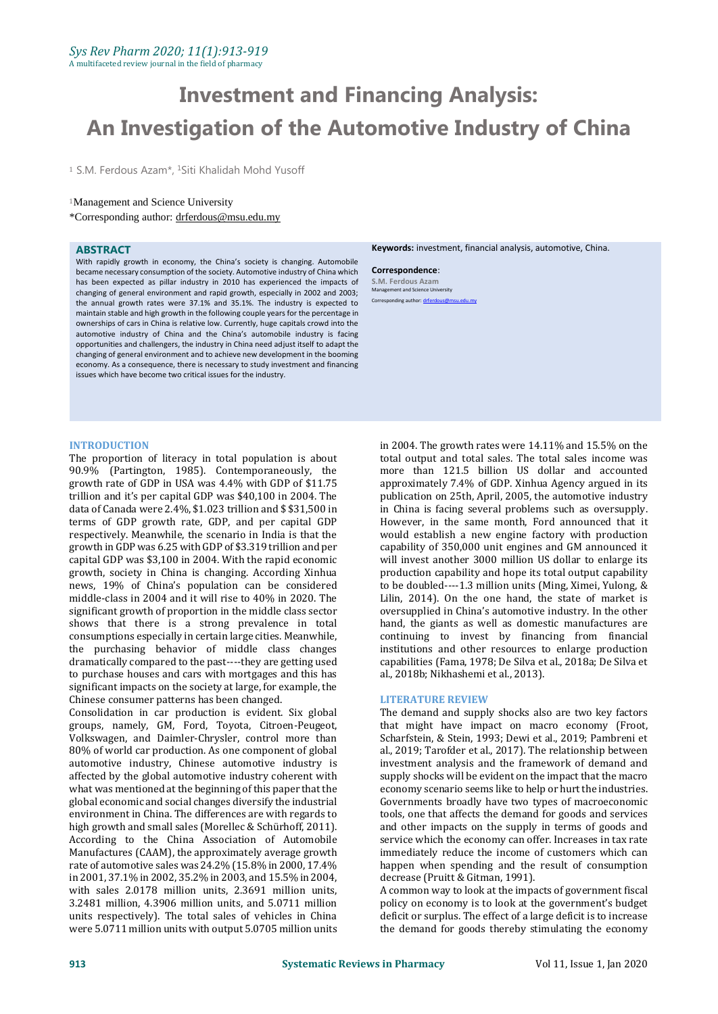# **Investment and Financing Analysis: An Investigation of the Automotive Industry of China**

<sup>1</sup> S.M. Ferdous Azam<sup>\*</sup>, <sup>1</sup>Siti Khalidah Mohd Yusoff

# <sup>1</sup>Management and Science University

\*Corresponding author: [drferdous@msu.edu.my](mailto:mdgapar@msu.edu.my) 

# **ABSTRACT**

With rapidly growth in economy, the China's society is changing. Automobile became necessary consumption of the society. Automotive industry of China which has been expected as pillar industry in 2010 has experienced the impacts of changing of general environment and rapid growth, especially in 2002 and 2003; the annual growth rates were 37.1% and 35.1%. The industry is expected to maintain stable and high growth in the following couple years for the percentage in ownerships of cars in China is relative low. Currently, huge capitals crowd into the automotive industry of China and the China's automobile industry is facing opportunities and challengers, the industry in China need adjust itself to adapt the changing of general environment and to achieve new development in the booming economy. As a consequence, there is necessary to study investment and financing issues which have become two critical issues for the industry.

## **INTRODUCTION**

The proportion of literacy in total population is about 90.9% (Partington, 1985). Contemporaneously, the growth rate of GDP in USA was 4.4% with GDP of \$11.75 trillion and it's per capital GDP was \$40,100 in 2004. The data of Canada were 2.4%, \$1.023 trillion and \$ \$31,500 in terms of GDP growth rate, GDP, and per capital GDP respectively. Meanwhile, the scenario in India is that the growth in GDP was 6.25 with GDP of \$3.319 trillion and per capital GDP was \$3,100 in 2004. With the rapid economic growth, society in China is changing. According Xinhua news, 19% of China's population can be considered middle-class in 2004 and it will rise to 40% in 2020. The significant growth of proportion in the middle class sector shows that there is a strong prevalence in total consumptions especially in certain large cities. Meanwhile, the purchasing behavior of middle class changes dramatically compared to the past----they are getting used to purchase houses and cars with mortgages and this has significant impacts on the society at large, for example, the Chinese consumer patterns has been changed.

Consolidation in car production is evident. Six global groups, namely, GM, Ford, Toyota, Citroen-Peugeot, Volkswagen, and Daimler-Chrysler, control more than 80% of world car production. As one component of global automotive industry, Chinese automotive industry is affected by the global automotive industry coherent with what was mentioned at the beginning of this paper that the global economic and social changes diversify the industrial environment in China. The differences are with regards to high growth and small sales (Morellec & Schürhoff, 2011). According to the China Association of Automobile Manufactures (CAAM), the approximately average growth rate of automotive sales was 24.2% (15.8% in 2000, 17.4% in 2001, 37.1% in 2002, 35.2% in 2003, and 15.5% in 2004, with sales 2.0178 million units, 2.3691 million units, 3.2481 million, 4.3906 million units, and 5.0711 million units respectively). The total sales of vehicles in China were 5.0711 million units with output 5.0705 million units

**Keywords:** investment, financial analysis, automotive, China.

**Correspondence**: **S.M. Ferdous Azam** Management and Science University onding author: drfer

in 2004. The growth rates were 14.11% and 15.5% on the total output and total sales. The total sales income was more than 121.5 billion US dollar and accounted approximately 7.4% of GDP. Xinhua Agency argued in its publication on 25th, April, 2005, the automotive industry in China is facing several problems such as oversupply. However, in the same month, Ford announced that it would establish a new engine factory with production capability of 350,000 unit engines and GM announced it will invest another 3000 million US dollar to enlarge its production capability and hope its total output capability to be doubled----1.3 million units (Ming, Ximei, Yulong, & Lilin, 2014). On the one hand, the state of market is oversupplied in China's automotive industry. In the other hand, the giants as well as domestic manufactures are continuing to invest by financing from financial institutions and other resources to enlarge production capabilities (Fama, 1978; De Silva et al., 2018a; De Silva et al., 2018b; Nikhashemi et al., 2013).

## **LITERATURE REVIEW**

The demand and supply shocks also are two key factors that might have impact on macro economy (Froot, Scharfstein, & Stein, 1993; Dewi et al., 2019; Pambreni et al., 2019; Tarofder et al., 2017). The relationship between investment analysis and the framework of demand and supply shocks will be evident on the impact that the macro economy scenario seems like to help or hurt the industries. Governments broadly have two types of macroeconomic tools, one that affects the demand for goods and services and other impacts on the supply in terms of goods and service which the economy can offer. Increases in tax rate immediately reduce the income of customers which can happen when spending and the result of consumption decrease (Pruitt & Gitman, 1991).

A common way to look at the impacts of government fiscal policy on economy is to look at the government's budget deficit or surplus. The effect of a large deficit is to increase the demand for goods thereby stimulating the economy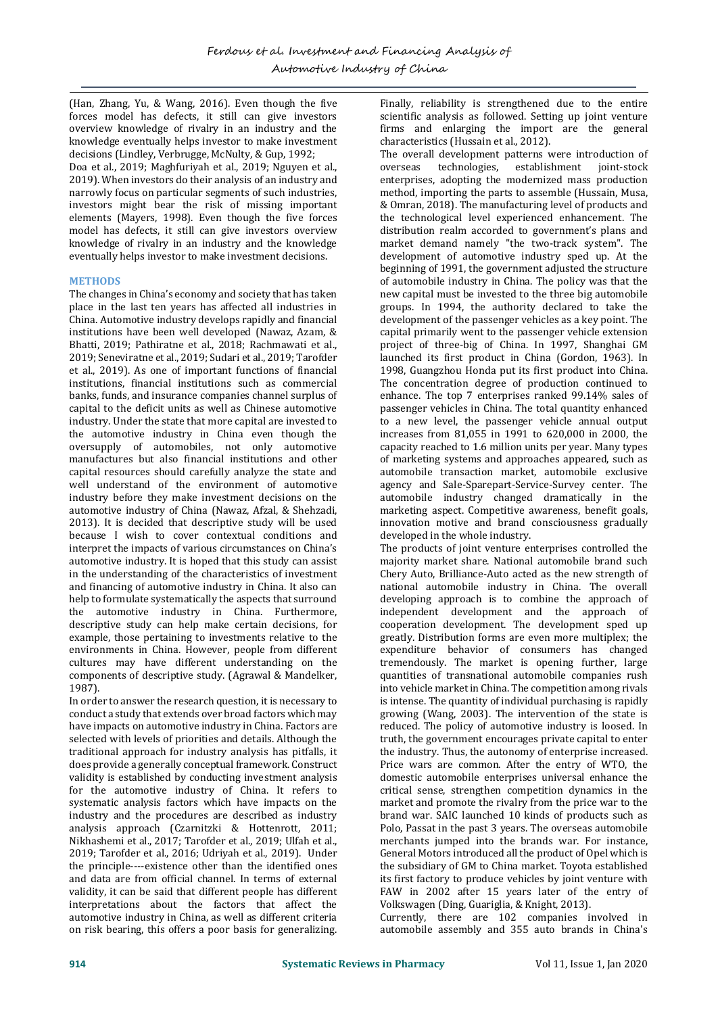(Han, Zhang, Yu, & Wang, 2016). Even though the five forces model has defects, it still can give investors overview knowledge of rivalry in an industry and the knowledge eventually helps investor to make investment decisions (Lindley, Verbrugge, McNulty, & Gup, 1992; Doa et al., 2019; Maghfuriyah et al., 2019; Nguyen et al., 2019). When investors do their analysis of an industry and narrowly focus on particular segments of such industries, investors might bear the risk of missing important elements (Mayers, 1998). Even though the five forces model has defects, it still can give investors overview knowledge of rivalry in an industry and the knowledge eventually helps investor to make investment decisions.

# **METHODS**

The changes in China's economy and society that has taken place in the last ten years has affected all industries in China. Automotive industry develops rapidly and financial institutions have been well developed (Nawaz, Azam, & Bhatti, 2019; Pathiratne et al., 2018; Rachmawati et al., 2019; Seneviratne et al., 2019; Sudari et al., 2019; Tarofder et al., 2019). As one of important functions of financial institutions, financial institutions such as commercial banks, funds, and insurance companies channel surplus of capital to the deficit units as well as Chinese automotive industry. Under the state that more capital are invested to the automotive industry in China even though the oversupply of automobiles, not only automotive manufactures but also financial institutions and other capital resources should carefully analyze the state and well understand of the environment of automotive industry before they make investment decisions on the automotive industry of China (Nawaz, Afzal, & Shehzadi, 2013). It is decided that descriptive study will be used because I wish to cover contextual conditions and interpret the impacts of various circumstances on China's automotive industry. It is hoped that this study can assist in the understanding of the characteristics of investment and financing of automotive industry in China. It also can help to formulate systematically the aspects that surround the automotive industry in China. Furthermore, descriptive study can help make certain decisions, for example, those pertaining to investments relative to the environments in China. However, people from different cultures may have different understanding on the components of descriptive study. (Agrawal & Mandelker, 1987).

In order to answer the research question, it is necessary to conduct a study that extends over broad factors which may have impacts on automotive industry in China. Factors are selected with levels of priorities and details. Although the traditional approach for industry analysis has pitfalls, it does provide a generally conceptual framework. Construct validity is established by conducting investment analysis for the automotive industry of China. It refers to systematic analysis factors which have impacts on the industry and the procedures are described as industry analysis approach (Czarnitzki & Hottenrott, 2011; Nikhashemi et al., 2017; Tarofder et al., 2019; Ulfah et al., 2019; Tarofder et al., 2016; Udriyah et al., 2019). Under the principle----existence other than the identified ones and data are from official channel. In terms of external validity, it can be said that different people has different interpretations about the factors that affect the automotive industry in China, as well as different criteria on risk bearing, this offers a poor basis for generalizing.

Finally, reliability is strengthened due to the entire scientific analysis as followed. Setting up joint venture firms and enlarging the import are the general characteristics (Hussain et al., 2012).

The overall development patterns were introduction of overseas technologies, establishment joint-stock enterprises, adopting the modernized mass production method, importing the parts to assemble (Hussain, Musa, & Omran, 2018). The manufacturing level of products and the technological level experienced enhancement. The distribution realm accorded to government's plans and market demand namely "the two-track system". The development of automotive industry sped up. At the beginning of 1991, the government adjusted the structure of automobile industry in China. The policy was that the new capital must be invested to the three big automobile groups. In 1994, the authority declared to take the development of the passenger vehicles as a key point. The capital primarily went to the passenger vehicle extension project of three-big of China. In 1997, Shanghai GM launched its first product in China (Gordon, 1963). In 1998, Guangzhou Honda put its first product into China. The concentration degree of production continued to enhance. The top 7 enterprises ranked 99.14% sales of passenger vehicles in China. The total quantity enhanced to a new level, the passenger vehicle annual output increases from 81,055 in 1991 to 620,000 in 2000, the capacity reached to 1.6 million units per year. Many types of marketing systems and approaches appeared, such as automobile transaction market, automobile exclusive agency and Sale-Sparepart-Service-Survey center. The automobile industry changed dramatically in the marketing aspect. Competitive awareness, benefit goals, innovation motive and brand consciousness gradually developed in the whole industry.

The products of joint venture enterprises controlled the majority market share. National automobile brand such Chery Auto, Brilliance-Auto acted as the new strength of national automobile industry in China. The overall developing approach is to combine the approach of independent development and the approach of cooperation development. The development sped up greatly. Distribution forms are even more multiplex; the expenditure behavior of consumers has changed tremendously. The market is opening further, large quantities of transnational automobile companies rush into vehicle market in China. The competition among rivals is intense. The quantity of individual purchasing is rapidly growing (Wang, 2003). The intervention of the state is reduced. The policy of automotive industry is loosed. In truth, the government encourages private capital to enter the industry. Thus, the autonomy of enterprise increased. Price wars are common. After the entry of WTO, the domestic automobile enterprises universal enhance the critical sense, strengthen competition dynamics in the market and promote the rivalry from the price war to the brand war. SAIC launched 10 kinds of products such as Polo, Passat in the past 3 years. The overseas automobile merchants jumped into the brands war. For instance, General Motors introduced all the product of Opel which is the subsidiary of GM to China market. Toyota established its first factory to produce vehicles by joint venture with FAW in 2002 after 15 years later of the entry of Volkswagen (Ding, Guariglia, & Knight, 2013).

Currently, there are 102 companies involved in automobile assembly and 355 auto brands in China's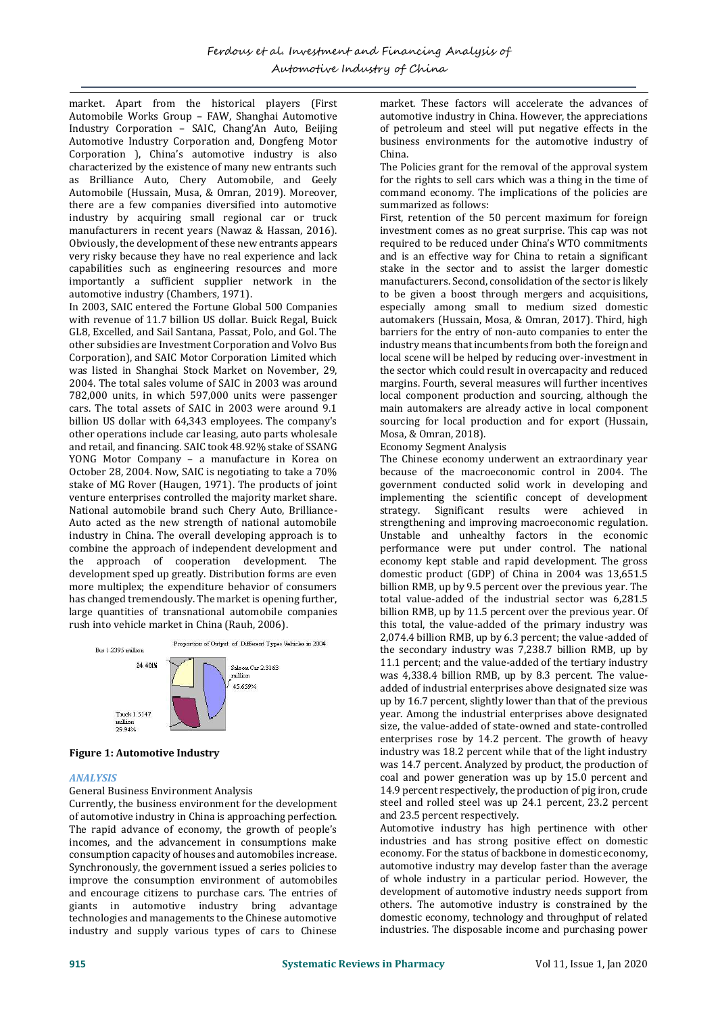market. Apart from the historical players (First Automobile Works Group – FAW, Shanghai Automotive Industry Corporation – SAIC, Chang'An Auto, Beijing Automotive Industry Corporation and, Dongfeng Motor Corporation ), China's automotive industry is also characterized by the existence of many new entrants such as Brilliance Auto, Chery Automobile, and Geely Automobile (Hussain, Musa, & Omran, 2019). Moreover, there are a few companies diversified into automotive industry by acquiring small regional car or truck manufacturers in recent years (Nawaz & Hassan, 2016). Obviously, the development of these new entrants appears very risky because they have no real experience and lack capabilities such as engineering resources and more importantly a sufficient supplier network in the automotive industry (Chambers, 1971).

In 2003, SAIC entered the Fortune Global 500 Companies with revenue of 11.7 billion US dollar. Buick Regal, Buick GL8, Excelled, and Sail Santana, Passat, Polo, and Gol. The other subsidies are Investment Corporation and Volvo Bus Corporation), and SAIC Motor Corporation Limited which was listed in Shanghai Stock Market on November, 29, 2004. The total sales volume of SAIC in 2003 was around 782,000 units, in which 597,000 units were passenger cars. The total assets of SAIC in 2003 were around 9.1 billion US dollar with 64,343 employees. The company's other operations include car leasing, auto parts wholesale and retail, and financing. SAIC took 48.92% stake of SSANG YONG Motor Company – a manufacture in Korea on October 28, 2004. Now, SAIC is negotiating to take a 70% stake of MG Rover (Haugen, 1971). The products of joint venture enterprises controlled the majority market share. National automobile brand such Chery Auto, Brilliance-Auto acted as the new strength of national automobile industry in China. The overall developing approach is to combine the approach of independent development and the approach of cooperation development. The development sped up greatly. Distribution forms are even more multiplex; the expenditure behavior of consumers has changed tremendously. The market is opening further, large quantities of transnational automobile companies rush into vehicle market in China (Rauh, 2006).



## **Figure 1: Automotive Industry**

# *ANALYSIS*

## General Business Environment Analysis

Currently, the business environment for the development of automotive industry in China is approaching perfection. The rapid advance of economy, the growth of people's incomes, and the advancement in consumptions make consumption capacity of houses and automobiles increase. Synchronously, the government issued a series policies to improve the consumption environment of automobiles and encourage citizens to purchase cars. The entries of giants in automotive industry bring advantage technologies and managements to the Chinese automotive industry and supply various types of cars to Chinese

market. These factors will accelerate the advances of automotive industry in China. However, the appreciations of petroleum and steel will put negative effects in the business environments for the automotive industry of China.

The Policies grant for the removal of the approval system for the rights to sell cars which was a thing in the time of command economy. The implications of the policies are summarized as follows:

First, retention of the 50 percent maximum for foreign investment comes as no great surprise. This cap was not required to be reduced under China's WTO commitments and is an effective way for China to retain a significant stake in the sector and to assist the larger domestic manufacturers. Second, consolidation of the sector is likely to be given a boost through mergers and acquisitions, especially among small to medium sized domestic automakers (Hussain, Mosa, & Omran, 2017). Third, high barriers for the entry of non-auto companies to enter the industry means that incumbents from both the foreign and local scene will be helped by reducing over-investment in the sector which could result in overcapacity and reduced margins. Fourth, several measures will further incentives local component production and sourcing, although the main automakers are already active in local component sourcing for local production and for export (Hussain, Mosa, & Omran, 2018).

Economy Segment Analysis

The Chinese economy underwent an extraordinary year because of the macroeconomic control in 2004. The government conducted solid work in developing and implementing the scientific concept of development strategy. Significant results were achieved in strengthening and improving macroeconomic regulation. Unstable and unhealthy factors in the economic performance were put under control. The national economy kept stable and rapid development. The gross domestic product (GDP) of China in 2004 was 13,651.5 billion RMB, up by 9.5 percent over the previous year. The total value-added of the industrial sector was 6,281.5 billion RMB, up by 11.5 percent over the previous year. Of this total, the value-added of the primary industry was 2,074.4 billion RMB, up by 6.3 percent; the value-added of the secondary industry was 7,238.7 billion RMB, up by 11.1 percent; and the value-added of the tertiary industry was 4,338.4 billion RMB, up by 8.3 percent. The valueadded of industrial enterprises above designated size was up by 16.7 percent, slightly lower than that of the previous year. Among the industrial enterprises above designated size, the value-added of state-owned and state-controlled enterprises rose by 14.2 percent. The growth of heavy industry was 18.2 percent while that of the light industry was 14.7 percent. Analyzed by product, the production of coal and power generation was up by 15.0 percent and 14.9 percent respectively, the production of pig iron, crude steel and rolled steel was up 24.1 percent, 23.2 percent and 23.5 percent respectively.

Automotive industry has high pertinence with other industries and has strong positive effect on domestic economy. For the status of backbone in domestic economy, automotive industry may develop faster than the average of whole industry in a particular period. However, the development of automotive industry needs support from others. The automotive industry is constrained by the domestic economy, technology and throughput of related industries. The disposable income and purchasing power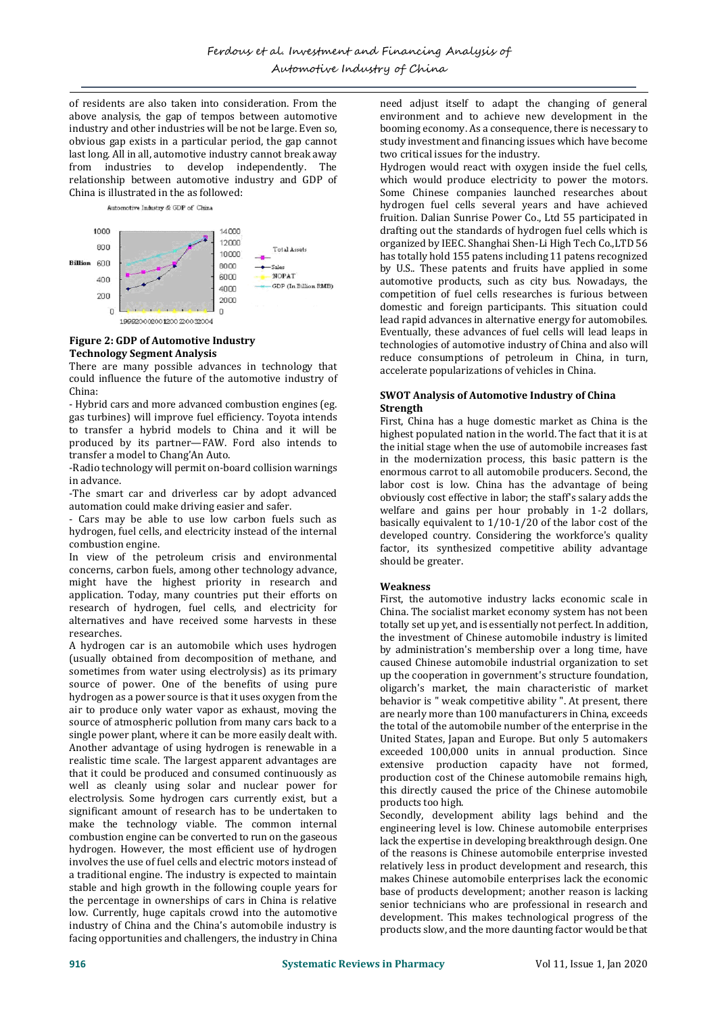of residents are also taken into consideration. From the above analysis, the gap of tempos between automotive industry and other industries will be not be large. Even so, obvious gap exists in a particular period, the gap cannot last long. All in all, automotive industry cannot break away from industries to develop independently. The relationship between automotive industry and GDP of China is illustrated in the as followed:

Automotive Industry & GDP of China



# **Figure 2: GDP of Automotive Industry Technology Segment Analysis**

There are many possible advances in technology that could influence the future of the automotive industry of China:

- Hybrid cars and more advanced combustion engines (eg. gas turbines) will improve fuel efficiency. Toyota intends to transfer a hybrid models to China and it will be produced by its partner—FAW. Ford also intends to transfer a model to Chang'An Auto.

-Radio technology will permit on-board collision warnings in advance.

-The smart car and driverless car by adopt advanced automation could make driving easier and safer.

- Cars may be able to use low carbon fuels such as hydrogen, fuel cells, and electricity instead of the internal combustion engine.

In view of the petroleum crisis and environmental concerns, carbon fuels, among other technology advance, might have the highest priority in research and application. Today, many countries put their efforts on research of hydrogen, fuel cells, and electricity for alternatives and have received some harvests in these researches.

A hydrogen car is an automobile which uses hydrogen (usually obtained from decomposition of methane, and sometimes from water using electrolysis) as its primary source of power. One of the benefits of using pure hydrogen as a power source is that it uses oxygen from the air to produce only water vapor as exhaust, moving the source of atmospheric pollution from many cars back to a single power plant, where it can be more easily dealt with. Another advantage of using hydrogen is renewable in a realistic time scale. The largest apparent advantages are that it could be produced and consumed continuously as well as cleanly using solar and nuclear power for electrolysis. Some hydrogen cars currently exist, but a significant amount of research has to be undertaken to make the technology viable. The common internal combustion engine can be converted to run on the gaseous hydrogen. However, the most efficient use of hydrogen involves the use of fuel cells and electric motors instead of a traditional engine. The industry is expected to maintain stable and high growth in the following couple years for the percentage in ownerships of cars in China is relative low. Currently, huge capitals crowd into the automotive industry of China and the China's automobile industry is facing opportunities and challengers, the industry in China

need adjust itself to adapt the changing of general environment and to achieve new development in the booming economy. As a consequence, there is necessary to study investment and financing issues which have become two critical issues for the industry.

Hydrogen would react with oxygen inside the fuel cells, which would produce electricity to power the motors. Some Chinese companies launched researches about hydrogen fuel cells several years and have achieved fruition. Dalian Sunrise Power Co., Ltd 55 participated in drafting out the standards of hydrogen fuel cells which is organized by IEEC. Shanghai Shen-Li High Tech Co.,LTD 56 has totally hold 155 patens including 11 patens recognized by U.S.. These patents and fruits have applied in some automotive products, such as city bus. Nowadays, the competition of fuel cells researches is furious between domestic and foreign participants. This situation could lead rapid advances in alternative energy for automobiles. Eventually, these advances of fuel cells will lead leaps in technologies of automotive industry of China and also will reduce consumptions of petroleum in China, in turn, accelerate popularizations of vehicles in China.

# **SWOT Analysis of Automotive Industry of China Strength**

First, China has a huge domestic market as China is the highest populated nation in the world. The fact that it is at the initial stage when the use of automobile increases fast in the modernization process, this basic pattern is the enormous carrot to all automobile producers. Second, the labor cost is low. China has the advantage of being obviously cost effective in labor; the staff's salary adds the welfare and gains per hour probably in 1-2 dollars, basically equivalent to 1/10-1/20 of the labor cost of the developed country. Considering the workforce's quality factor, its synthesized competitive ability advantage should be greater.

# **Weakness**

First, the automotive industry lacks economic scale in China. The socialist market economy system has not been totally set up yet, and is essentially not perfect. In addition, the investment of Chinese automobile industry is limited by administration's membership over a long time, have caused Chinese automobile industrial organization to set up the cooperation in government's structure foundation, oligarch's market, the main characteristic of market behavior is " weak competitive ability ". At present, there are nearly more than 100 manufacturers in China, exceeds the total of the automobile number of the enterprise in the United States, Japan and Europe. But only 5 automakers exceeded 100,000 units in annual production. Since extensive production capacity have not formed, production cost of the Chinese automobile remains high, this directly caused the price of the Chinese automobile products too high.

Secondly, development ability lags behind and the engineering level is low. Chinese automobile enterprises lack the expertise in developing breakthrough design. One of the reasons is Chinese automobile enterprise invested relatively less in product development and research, this makes Chinese automobile enterprises lack the economic base of products development; another reason is lacking senior technicians who are professional in research and development. This makes technological progress of the products slow, and the more daunting factor would be that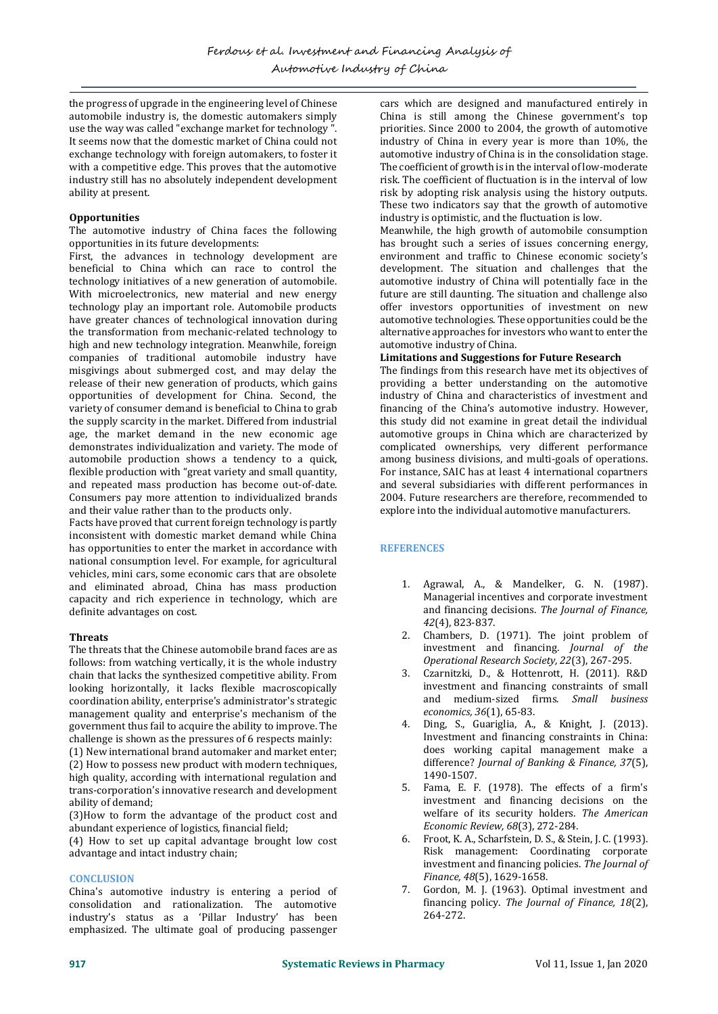the progress of upgrade in the engineering level of Chinese automobile industry is, the domestic automakers simply use the way was called "exchange market for technology ". It seems now that the domestic market of China could not exchange technology with foreign automakers, to foster it with a competitive edge. This proves that the automotive industry still has no absolutely independent development ability at present.

# **Opportunities**

The automotive industry of China faces the following opportunities in its future developments:

First, the advances in technology development are beneficial to China which can race to control the technology initiatives of a new generation of automobile. With microelectronics, new material and new energy technology play an important role. Automobile products have greater chances of technological innovation during the transformation from mechanic-related technology to high and new technology integration. Meanwhile, foreign companies of traditional automobile industry have misgivings about submerged cost, and may delay the release of their new generation of products, which gains opportunities of development for China. Second, the variety of consumer demand is beneficial to China to grab the supply scarcity in the market. Differed from industrial age, the market demand in the new economic age demonstrates individualization and variety. The mode of automobile production shows a tendency to a quick, flexible production with "great variety and small quantity, and repeated mass production has become out-of-date. Consumers pay more attention to individualized brands and their value rather than to the products only.

Facts have proved that current foreign technology is partly inconsistent with domestic market demand while China has opportunities to enter the market in accordance with national consumption level. For example, for agricultural vehicles, mini cars, some economic cars that are obsolete and eliminated abroad, China has mass production capacity and rich experience in technology, which are definite advantages on cost.

# **Threats**

The threats that the Chinese automobile brand faces are as follows: from watching vertically, it is the whole industry chain that lacks the synthesized competitive ability. From looking horizontally, it lacks flexible macroscopically coordination ability, enterprise's administrator's strategic management quality and enterprise's mechanism of the government thus fail to acquire the ability to improve. The challenge is shown as the pressures of 6 respects mainly: (1) New international brand automaker and market enter;

(2) How to possess new product with modern techniques, high quality, according with international regulation and trans-corporation's innovative research and development ability of demand;

(3)How to form the advantage of the product cost and abundant experience of logistics, financial field;

(4) How to set up capital advantage brought low cost advantage and intact industry chain;

# **CONCLUSION**

China's automotive industry is entering a period of consolidation and rationalization. The automotive industry's status as a 'Pillar Industry' has been emphasized. The ultimate goal of producing passenger

cars which are designed and manufactured entirely in China is still among the Chinese government's top priorities. Since 2000 to 2004, the growth of automotive industry of China in every year is more than 10%, the automotive industry of China is in the consolidation stage. The coefficient of growth is in the interval of low-moderate risk. The coefficient of fluctuation is in the interval of low risk by adopting risk analysis using the history outputs. These two indicators say that the growth of automotive industry is optimistic, and the fluctuation is low.

Meanwhile, the high growth of automobile consumption has brought such a series of issues concerning energy, environment and traffic to Chinese economic society's development. The situation and challenges that the automotive industry of China will potentially face in the future are still daunting. The situation and challenge also offer investors opportunities of investment on new automotive technologies. These opportunities could be the alternative approaches for investors who want to enter the automotive industry of China.

# **Limitations and Suggestions for Future Research**

The findings from this research have met its objectives of providing a better understanding on the automotive industry of China and characteristics of investment and financing of the China's automotive industry. However, this study did not examine in great detail the individual automotive groups in China which are characterized by complicated ownerships, very different performance among business divisions, and multi-goals of operations. For instance, SAIC has at least 4 international copartners and several subsidiaries with different performances in 2004. Future researchers are therefore, recommended to explore into the individual automotive manufacturers.

# **REFERENCES**

- 1. Agrawal, A., & Mandelker, G. N. (1987). Managerial incentives and corporate investment and financing decisions. *The Journal of Finance, 42*(4), 823-837.
- 2. Chambers, D. (1971). The joint problem of investment and financing. *Journal of the Operational Research Society, 22*(3), 267-295.
- 3. Czarnitzki, D., & Hottenrott, H. (2011). R&D investment and financing constraints of small and medium-sized firms. *Small business economics, 36*(1), 65-83.
- 4. Ding, S., Guariglia, A., & Knight, J. (2013). Investment and financing constraints in China: does working capital management make a difference? *Journal of Banking & Finance, 37*(5), 1490-1507.
- 5. Fama, E. F. (1978). The effects of a firm's investment and financing decisions on the welfare of its security holders. *The American Economic Review, 68*(3), 272-284.
- 6. Froot, K. A., Scharfstein, D. S., & Stein, J. C. (1993). Risk management: Coordinating corporate investment and financing policies. *The Journal of Finance, 48*(5), 1629-1658.
- 7. Gordon, M. J. (1963). Optimal investment and financing policy. *The Journal of Finance, 18*(2), 264-272.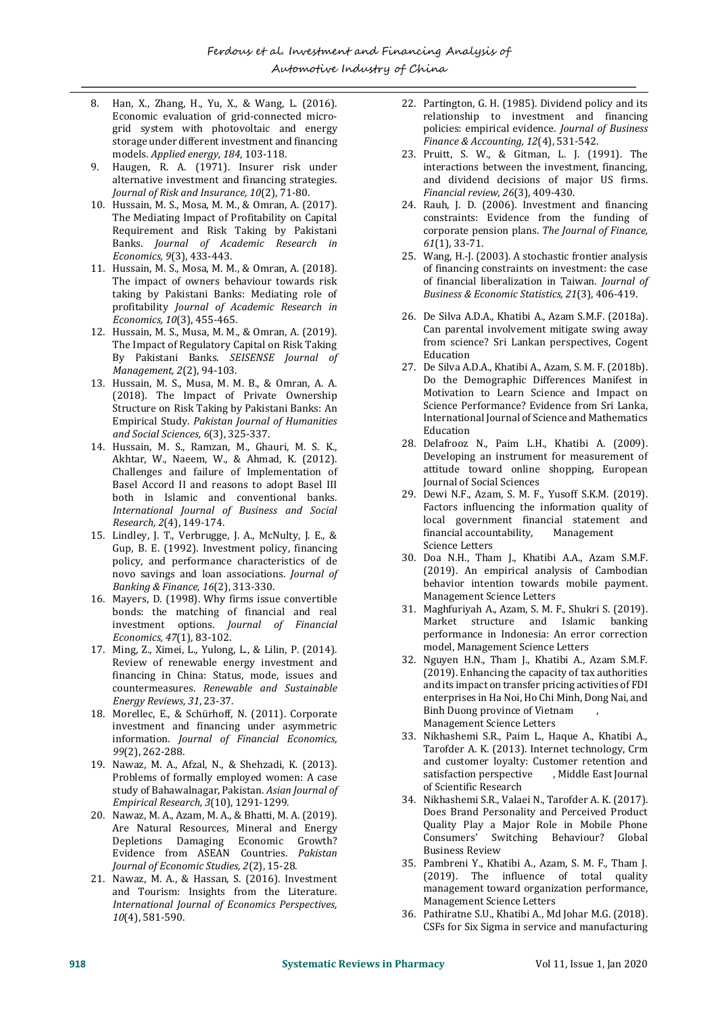- 8. Han, X., Zhang, H., Yu, X., & Wang, L. (2016). Economic evaluation of grid-connected microgrid system with photovoltaic and energy storage under different investment and financing models. *Applied energy, 184*, 103-118.
- 9. Haugen, R. A. (1971). Insurer risk under alternative investment and financing strategies. *Journal of Risk and Insurance, 10*(2), 71-80.
- 10. Hussain, M. S., Mosa, M. M., & Omran, A. (2017). The Mediating Impact of Profitability on Capital Requirement and Risk Taking by Pakistani Banks. *Journal of Academic Research in Economics, 9*(3), 433-443.
- 11. Hussain, M. S., Mosa, M. M., & Omran, A. (2018). The impact of owners behaviour towards risk taking by Pakistani Banks: Mediating role of profitability *Journal of Academic Research in Economics, 10*(3), 455-465.
- 12. Hussain, M. S., Musa, M. M., & Omran, A. (2019). The Impact of Regulatory Capital on Risk Taking By Pakistani Banks. *SEISENSE Journal of Management, 2*(2), 94-103.
- 13. Hussain, M. S., Musa, M. M. B., & Omran, A. A. (2018). The Impact of Private Ownership Structure on Risk Taking by Pakistani Banks: An Empirical Study. *Pakistan Journal of Humanities and Social Sciences, 6*(3), 325-337.
- 14. Hussain, M. S., Ramzan, M., Ghauri, M. S. K., Akhtar, W., Naeem, W., & Ahmad, K. (2012). Challenges and failure of Implementation of Basel Accord II and reasons to adopt Basel III both in Islamic and conventional banks. *International Journal of Business and Social Research, 2*(4), 149-174.
- 15. Lindley, J. T., Verbrugge, J. A., McNulty, J. E., & Gup, B. E. (1992). Investment policy, financing policy, and performance characteristics of de novo savings and loan associations. *Journal of Banking & Finance, 16*(2), 313-330.
- 16. Mayers, D. (1998). Why firms issue convertible bonds: the matching of financial and real investment options. *Journal of Financial Economics, 47*(1), 83-102.
- 17. Ming, Z., Ximei, L., Yulong, L., & Lilin, P. (2014). Review of renewable energy investment and financing in China: Status, mode, issues and countermeasures. *Renewable and Sustainable Energy Reviews, 31*, 23-37.
- 18. Morellec, E., & Schürhoff, N. (2011). Corporate investment and financing under asymmetric information. *Journal of Financial Economics, 99*(2), 262-288.
- 19. Nawaz, M. A., Afzal, N., & Shehzadi, K. (2013). Problems of formally employed women: A case study of Bahawalnagar, Pakistan. *Asian Journal of Empirical Research, 3*(10), 1291-1299.
- 20. Nawaz, M. A., Azam, M. A., & Bhatti, M. A. (2019). Are Natural Resources, Mineral and Energy Depletions Damaging Economic Growth? Evidence from ASEAN Countries. *Pakistan Journal of Economic Studies, 2*(2), 15-28.
- 21. Nawaz, M. A., & Hassan, S. (2016). Investment and Tourism: Insights from the Literature. *International Journal of Economics Perspectives, 10*(4), 581-590.
- 22. Partington, G. H. (1985). Dividend policy and its relationship to investment and financing policies: empirical evidence. *Journal of Business Finance & Accounting, 12*(4), 531-542.
- 23. Pruitt, S. W., & Gitman, L. J. (1991). The interactions between the investment, financing, and dividend decisions of major US firms. *Financial review, 26*(3), 409-430.
- 24. Rauh, J. D. (2006). Investment and financing constraints: Evidence from the funding of corporate pension plans. *The Journal of Finance, 61*(1), 33-71.
- 25. Wang, H.-J. (2003). A stochastic frontier analysis of financing constraints on investment: the case of financial liberalization in Taiwan. *Journal of Business & Economic Statistics, 21*(3), 406-419.
- 26. De Silva A.D.A., Khatibi A., Azam S.M.F. (2018a). Can parental involvement mitigate swing away from science? Sri Lankan perspectives, Cogent Education
- 27. De Silva A.D.A., Khatibi A., Azam, S. M. F. (2018b). Do the Demographic Differences Manifest in Motivation to Learn Science and Impact on Science Performance? Evidence from Sri Lanka, International Journal of Science and Mathematics Education
- 28. Delafrooz N., Paim L.H., Khatibi A. (2009). Developing an instrument for measurement of attitude toward online shopping, European Journal of Social Sciences
- 29. Dewi N.F., Azam, S. M. F., Yusoff S.K.M. (2019). Factors influencing the information quality of local government financial statement and financial accountability, Management Science Letters
- 30. Doa N.H., Tham J., Khatibi A.A., Azam S.M.F. (2019). An empirical analysis of Cambodian behavior intention towards mobile payment. Management Science Letters
- 31. Maghfuriyah A., Azam, S. M. F., Shukri S. (2019). Market structure and Islamic banking performance in Indonesia: An error correction model, Management Science Letters
- 32. Nguyen H.N., Tham J., Khatibi A., Azam S.M.F. (2019). Enhancing the capacity of tax authorities and its impact on transfer pricing activities of FDI enterprises in Ha Noi, Ho Chi Minh, Dong Nai, and Binh Duong province of Vietnam , Management Science Letters
- 33. Nikhashemi S.R., Paim L., Haque A., Khatibi A., Tarofder A. K. (2013). Internet technology, Crm and customer loyalty: Customer retention and satisfaction perspective , Middle East Journal of Scientific Research
- 34. Nikhashemi S.R., Valaei N., Tarofder A. K. (2017). Does Brand Personality and Perceived Product Quality Play a Major Role in Mobile Phone Consumers' Switching Behaviour? Global Business Review
- 35. Pambreni Y., Khatibi A., Azam, S. M. F., Tham J. (2019). The influence of total quality management toward organization performance, Management Science Letters
- 36. Pathiratne S.U., Khatibi A., Md Johar M.G. (2018). CSFs for Six Sigma in service and manufacturing